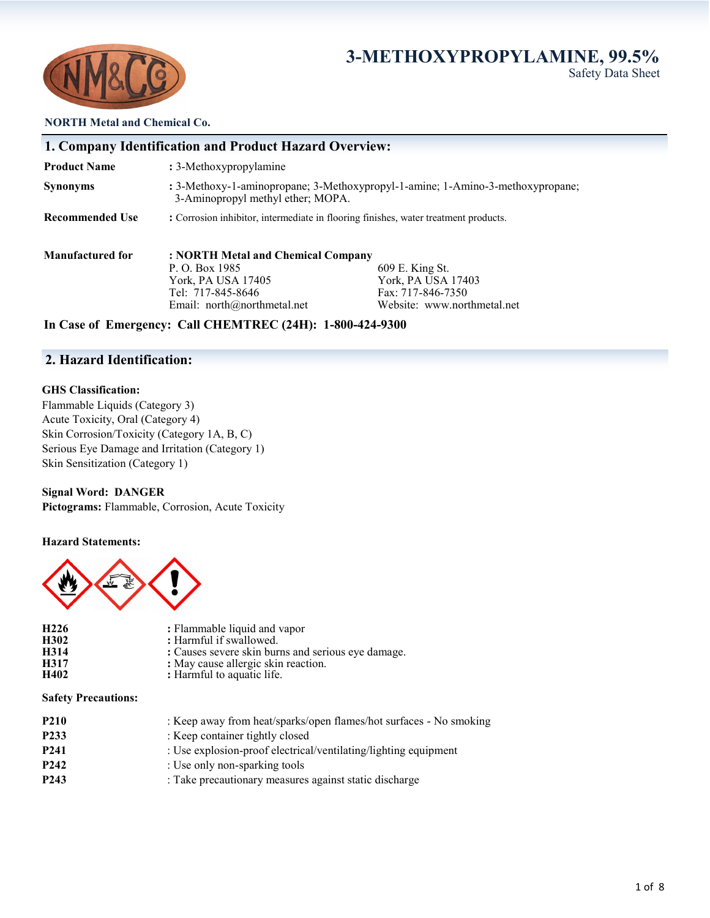# **3-METHOXYPROPYLAMINE, 99.5%** Safety Data Sheet



**NORTH Metal and Chemical Co.**

|                         | 1. Company Identification and Product Hazard Overview:                                                              |                             |  |  |
|-------------------------|---------------------------------------------------------------------------------------------------------------------|-----------------------------|--|--|
| <b>Product Name</b>     | : 3-Methoxypropylamine                                                                                              |                             |  |  |
| <b>Synonyms</b>         | : 3-Methoxy-1-aminopropane; 3-Methoxypropyl-1-amine; 1-Amino-3-methoxypropane;<br>3-Aminopropyl methyl ether; MOPA. |                             |  |  |
| <b>Recommended Use</b>  | : Corrosion inhibitor, intermediate in flooring finishes, water treatment products.                                 |                             |  |  |
| <b>Manufactured for</b> | : NORTH Metal and Chemical Company                                                                                  |                             |  |  |
|                         | P. O. Box 1985                                                                                                      | 609 E. King St.             |  |  |
|                         | York, PA USA 17405                                                                                                  | York, PA USA 17403          |  |  |
|                         | Tel: 717-845-8646                                                                                                   | Fax: 717-846-7350           |  |  |
|                         | Email: $north@northmetal.net$                                                                                       | Website: www.northmetal.net |  |  |
|                         |                                                                                                                     |                             |  |  |

### **In Case of Emergency: Call CHEMTREC (24H): 1-800-424-9300**

# **2. Hazard Identification:**

#### **GHS Classification:**

Flammable Liquids (Category 3) Acute Toxicity, Oral (Category 4) Skin Corrosion/Toxicity (Category 1A, B, C) Serious Eye Damage and Irritation (Category 1) Skin Sensitization (Category 1)

**Signal Word: DANGER Pictograms:** Flammable, Corrosion, Acute Toxicity

#### **Hazard Statements:**



| H <sub>226</sub> | : Flammable liquid and vapor                       |
|------------------|----------------------------------------------------|
| H302             | : Harmful if swallowed.                            |
| H314             | : Causes severe skin burns and serious eye damage. |
| H317             | : May cause allergic skin reaction.                |
| H402             | : Harmful to aquatic life.                         |

#### **Safety Precautions:**

| <b>P210</b>       | : Keep away from heat/sparks/open flames/hot surfaces - No smoking |
|-------------------|--------------------------------------------------------------------|
| P <sub>2</sub> 33 | : Keep container tightly closed                                    |
| P <sub>241</sub>  | : Use explosion-proof electrical/ventilating/lighting equipment    |
| P <sub>242</sub>  | : Use only non-sparking tools                                      |
| P <sub>243</sub>  | : Take precautionary measures against static discharge             |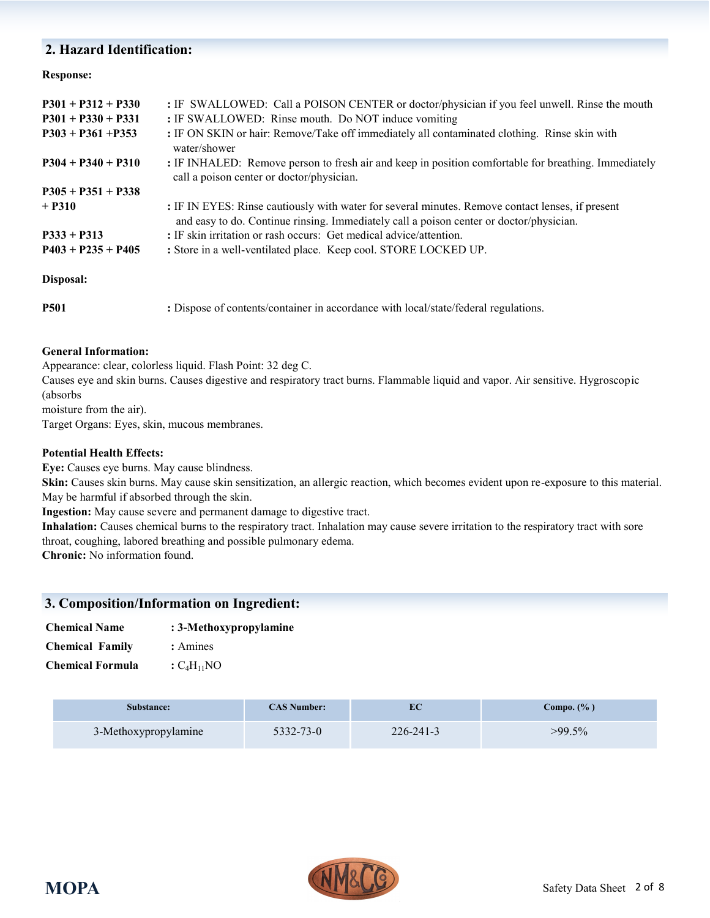# **2. Hazard Identification:**

### **Response:**

| $P301 + P312 + P330$<br>$P301 + P330 + P331$ | : IF SWALLOWED: Call a POISON CENTER or doctor/physician if you feel unwell. Rinse the mouth<br>: IF SWALLOWED: Rinse mouth. Do NOT induce vomiting                                         |
|----------------------------------------------|---------------------------------------------------------------------------------------------------------------------------------------------------------------------------------------------|
| $P303 + P361 + P353$                         | : IF ON SKIN or hair: Remove/Take off immediately all contaminated clothing. Rinse skin with<br>water/shower                                                                                |
| $P304 + P340 + P310$                         | : IF INHALED: Remove person to fresh air and keep in position comfortable for breathing. Immediately<br>call a poison center or doctor/physician.                                           |
| $P305 + P351 + P338$                         |                                                                                                                                                                                             |
| $+$ P310                                     | : IF IN EYES: Rinse cautiously with water for several minutes. Remove contact lenses, if present<br>and easy to do. Continue rinsing. Immediately call a poison center or doctor/physician. |
| $P333 + P313$                                | : IF skin irritation or rash occurs: Get medical advice/attention.                                                                                                                          |
| $P403 + P235 + P405$                         | : Store in a well-ventilated place. Keep cool. STORE LOCKED UP.                                                                                                                             |
| Disposal:                                    |                                                                                                                                                                                             |
| <b>P501</b>                                  | : Dispose of contents/container in accordance with local/state/federal regulations.                                                                                                         |

### **General Information:**

Appearance: clear, colorless liquid. Flash Point: 32 deg C.

Causes eye and skin burns. Causes digestive and respiratory tract burns. Flammable liquid and vapor. Air sensitive. Hygroscopic (absorbs

moisture from the air).

Target Organs: Eyes, skin, mucous membranes.

### **Potential Health Effects:**

**Eye:** Causes eye burns. May cause blindness.

**Skin:** Causes skin burns. May cause skin sensitization, an allergic reaction, which becomes evident upon re-exposure to this material. May be harmful if absorbed through the skin.

**Ingestion:** May cause severe and permanent damage to digestive tract.

**Inhalation:** Causes chemical burns to the respiratory tract. Inhalation may cause severe irritation to the respiratory tract with sore throat, coughing, labored breathing and possible pulmonary edema.

**Chronic:** No information found.

## **3. Composition/Information on Ingredient:**

| <b>Chemical Name</b>   | : 3-Methoxypropylamine |
|------------------------|------------------------|
| <b>Chemical Family</b> | : Amines               |

**Chemical Formula**  $:C_4H_{11}NO$ 

| Substance:           | <b>CAS Number:</b> | EС              | Compo. $(\% )$ |
|----------------------|--------------------|-----------------|----------------|
| 3-Methoxypropylamine | 5332-73-0          | $226 - 241 - 3$ | $>99.5\%$      |

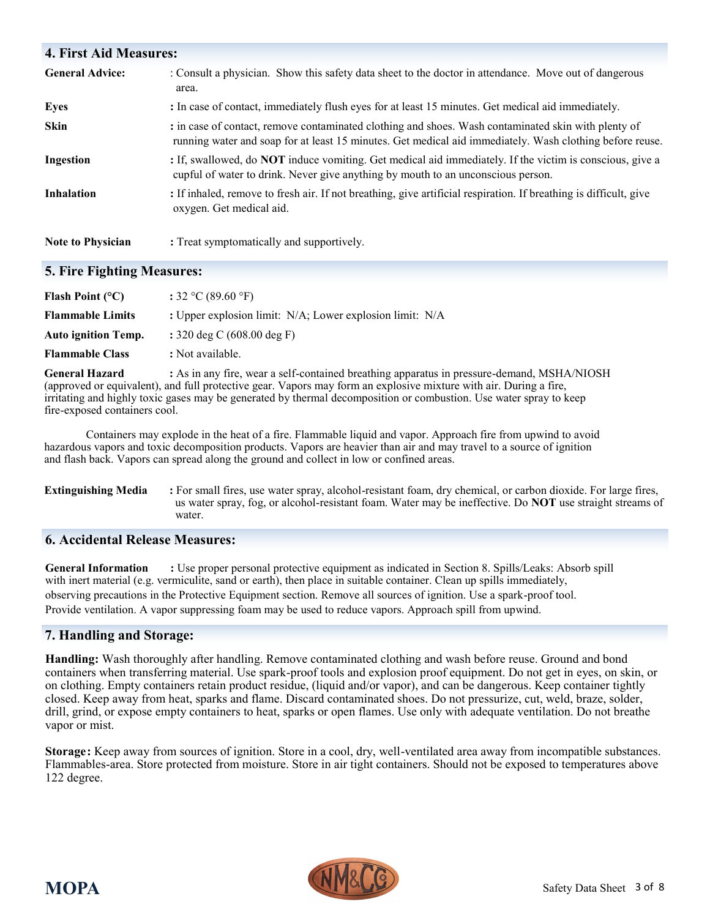| <b>4. First Aid Measures:</b> |                                                                                                                                                                                                                 |
|-------------------------------|-----------------------------------------------------------------------------------------------------------------------------------------------------------------------------------------------------------------|
| <b>General Advice:</b>        | : Consult a physician. Show this safety data sheet to the doctor in attendance. Move out of dangerous<br>area.                                                                                                  |
| <b>Eyes</b>                   | : In case of contact, immediately flush eyes for at least 15 minutes. Get medical aid immediately.                                                                                                              |
| <b>Skin</b>                   | : in case of contact, remove contaminated clothing and shoes. Wash contaminated skin with plenty of<br>running water and soap for at least 15 minutes. Get medical aid immediately. Wash clothing before reuse. |
| Ingestion                     | : If, swallowed, do <b>NOT</b> induce vomiting. Get medical aid immediately. If the victim is conscious, give a<br>cupful of water to drink. Never give anything by mouth to an unconscious person.             |
| <b>Inhalation</b>             | : If inhaled, remove to fresh air. If not breathing, give artificial respiration. If breathing is difficult, give<br>oxygen. Get medical aid.                                                                   |
| <b>Note to Physician</b>      | : Treat symptomatically and supportively.                                                                                                                                                                       |

# **5. Fire Fighting Measures:**

| Flash Point $(^{\circ}C)$  | : 32 °C (89.60 °F)                                       |
|----------------------------|----------------------------------------------------------|
| <b>Flammable Limits</b>    | : Upper explosion limit: N/A; Lower explosion limit: N/A |
| <b>Auto ignition Temp.</b> | : 320 deg C $(608.00$ deg F)                             |
| <b>Flammable Class</b>     | : Not available.                                         |

**General Hazard :** As in any fire, wear a self-contained breathing apparatus in pressure-demand, MSHA/NIOSH (approved or equivalent), and full protective gear. Vapors may form an explosive mixture with air. During a fire, irritating and highly toxic gases may be generated by thermal decomposition or combustion. Use water spray to keep fire-exposed containers cool.

Containers may explode in the heat of a fire. Flammable liquid and vapor. Approach fire from upwind to avoid hazardous vapors and toxic decomposition products. Vapors are heavier than air and may travel to a source of ignition and flash back. Vapors can spread along the ground and collect in low or confined areas.

#### **Extinguishing Media** : For small fires, use water spray, alcohol-resistant foam, dry chemical, or carbon dioxide. For large fires, us water spray, fog, or alcohol-resistant foam. Water may be ineffective. Do **NOT** use straight streams of water.

# **6. Accidental Release Measures:**

**General Information :** Use proper personal protective equipment as indicated in Section 8. Spills/Leaks: Absorb spill with inert material (e.g. vermiculite, sand or earth), then place in suitable container. Clean up spills immediately, observing precautions in the Protective Equipment section. Remove all sources of ignition. Use a spark-proof tool. Provide ventilation. A vapor suppressing foam may be used to reduce vapors. Approach spill from upwind.

# **7. Handling and Storage:**

**Handling:** Wash thoroughly after handling. Remove contaminated clothing and wash before reuse. Ground and bond containers when transferring material. Use spark-proof tools and explosion proof equipment. Do not get in eyes, on skin, or on clothing. Empty containers retain product residue, (liquid and/or vapor), and can be dangerous. Keep container tightly closed. Keep away from heat, sparks and flame. Discard contaminated shoes. Do not pressurize, cut, weld, braze, solder, drill, grind, or expose empty containers to heat, sparks or open flames. Use only with adequate ventilation. Do not breathe vapor or mist.

**Storage:** Keep away from sources of ignition. Store in a cool, dry, well-ventilated area away from incompatible substances. Flammables-area. Store protected from moisture. Store in air tight containers. Should not be exposed to temperatures above 122 degree.

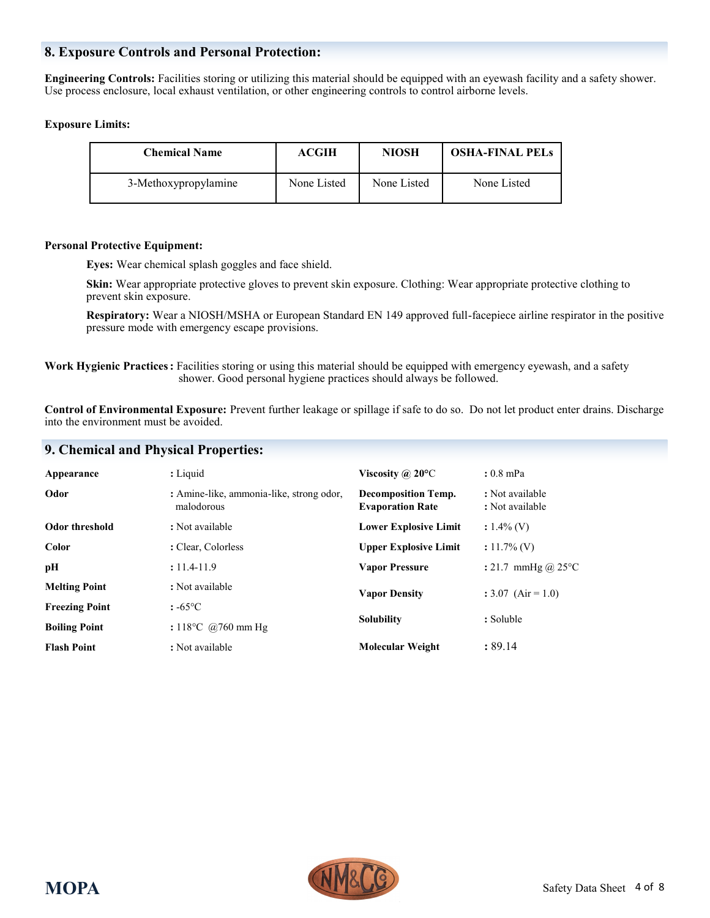## **8. Exposure Controls and Personal Protection:**

**Engineering Controls:** Facilities storing or utilizing this material should be equipped with an eyewash facility and a safety shower. Use process enclosure, local exhaust ventilation, or other engineering controls to control airborne levels.

#### **Exposure Limits:**

| <b>Chemical Name</b> | <b>ACGIH</b> | <b>NIOSH</b> | <b>OSHA-FINAL PELS</b> |
|----------------------|--------------|--------------|------------------------|
| 3-Methoxypropylamine | None Listed  | None Listed  | None Listed            |

#### **Personal Protective Equipment:**

**Eyes:** Wear chemical splash goggles and face shield.

**Skin:** Wear appropriate protective gloves to prevent skin exposure. Clothing: Wear appropriate protective clothing to prevent skin exposure.

**Respiratory:** Wear a NIOSH/MSHA or European Standard EN 149 approved full-facepiece airline respirator in the positive pressure mode with emergency escape provisions.

**Work Hygienic Practices:** Facilities storing or using this material should be equipped with emergency eyewash, and a safety shower. Good personal hygiene practices should always be followed.

**Control of Environmental Exposure:** Prevent further leakage or spillage if safe to do so. Do not let product enter drains. Discharge into the environment must be avoided.

## **9. Chemical and Physical Properties:**

| : Liquid<br>$: 0.8$ mPa<br>Viscosity @ $20^{\circ}$ C<br>Appearance                                                                                           |  |
|---------------------------------------------------------------------------------------------------------------------------------------------------------------|--|
| Odor<br>: Amine-like, ammonia-like, strong odor,<br>: Not available<br><b>Decomposition Temp.</b><br>malodorous<br>: Not available<br><b>Evaporation Rate</b> |  |
| Odor threshold<br><b>Lower Explosive Limit</b><br>: Not available<br>$: 1.4\%$ (V)                                                                            |  |
| Color<br><b>Upper Explosive Limit</b><br>: Clear, Colorless<br>$: 11.7\%$ (V)                                                                                 |  |
| $: 11.4 - 11.9$<br>: 21.7 mmHg @ 25 $^{\circ}$ C<br>pН<br><b>Vapor Pressure</b>                                                                               |  |
| <b>Melting Point</b><br>: Not available<br><b>Vapor Density</b><br>$: 3.07$ (Air = 1.0)                                                                       |  |
| <b>Freezing Point</b><br>$: -65^{\circ}C$                                                                                                                     |  |
| : Soluble<br><b>Solubility</b><br>: $118^{\circ}$ C @760 mm Hg<br><b>Boiling Point</b>                                                                        |  |
| : 89.14<br><b>Molecular Weight</b><br><b>Flash Point</b><br>: Not available                                                                                   |  |

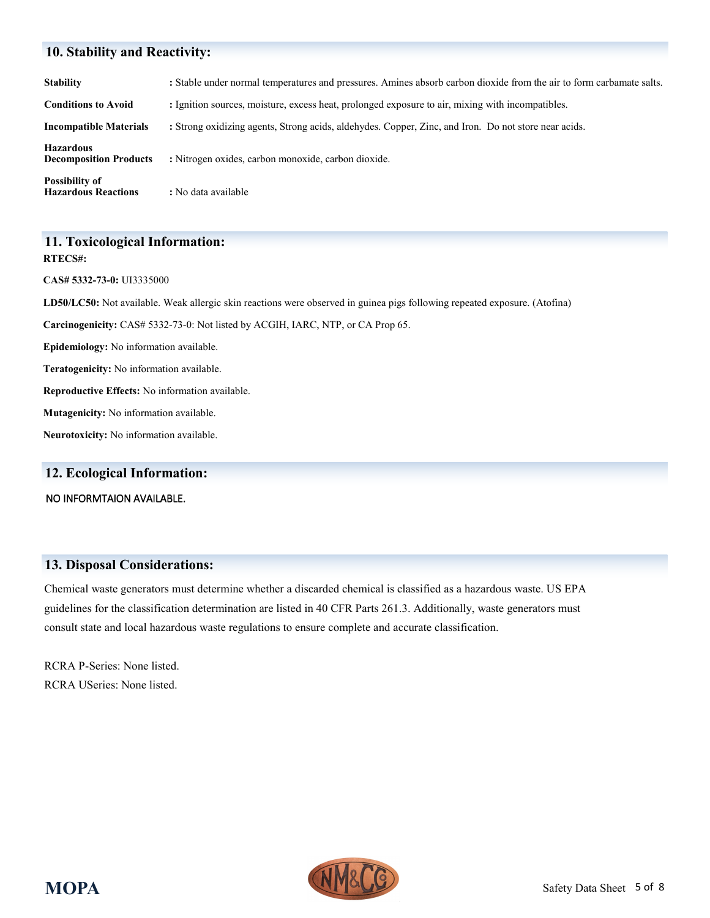# **10. Stability and Reactivity:**

| <b>Stability</b>                                    | : Stable under normal temperatures and pressures. Amines absorb carbon dioxide from the air to form carbamate salts. |
|-----------------------------------------------------|----------------------------------------------------------------------------------------------------------------------|
| <b>Conditions to Avoid</b>                          | : Ignition sources, moisture, excess heat, prolonged exposure to air, mixing with incompatibles.                     |
| <b>Incompatible Materials</b>                       | : Strong oxidizing agents, Strong acids, aldehydes. Copper, Zinc, and Iron. Do not store near acids.                 |
| <b>Hazardous</b><br><b>Decomposition Products</b>   | : Nitrogen oxides, carbon monoxide, carbon dioxide.                                                                  |
| <b>Possibility of</b><br><b>Hazardous Reactions</b> | : No data available                                                                                                  |

#### **11. Toxicological Information: RTECS#:**

**CAS# 5332-73-0:** UI3335000

**LD50/LC50:** Not available. Weak allergic skin reactions were observed in guinea pigs following repeated exposure. (Atofina)

**Carcinogenicity:** CAS# 5332-73-0: Not listed by ACGIH, IARC, NTP, or CA Prop 65.

**Epidemiology:** No information available.

**Teratogenicity:** No information available.

**Reproductive Effects:** No information available.

**Mutagenicity:** No information available.

**Neurotoxicity:** No information available.

## **12. Ecological Information:**

NO INFORMTAION AVAILABLE.

## **13. Disposal Considerations:**

Chemical waste generators must determine whether a discarded chemical is classified as a hazardous waste. US EPA guidelines for the classification determination are listed in 40 CFR Parts 261.3. Additionally, waste generators must consult state and local hazardous waste regulations to ensure complete and accurate classification.

RCRA P-Series: None listed. RCRA USeries: None listed.

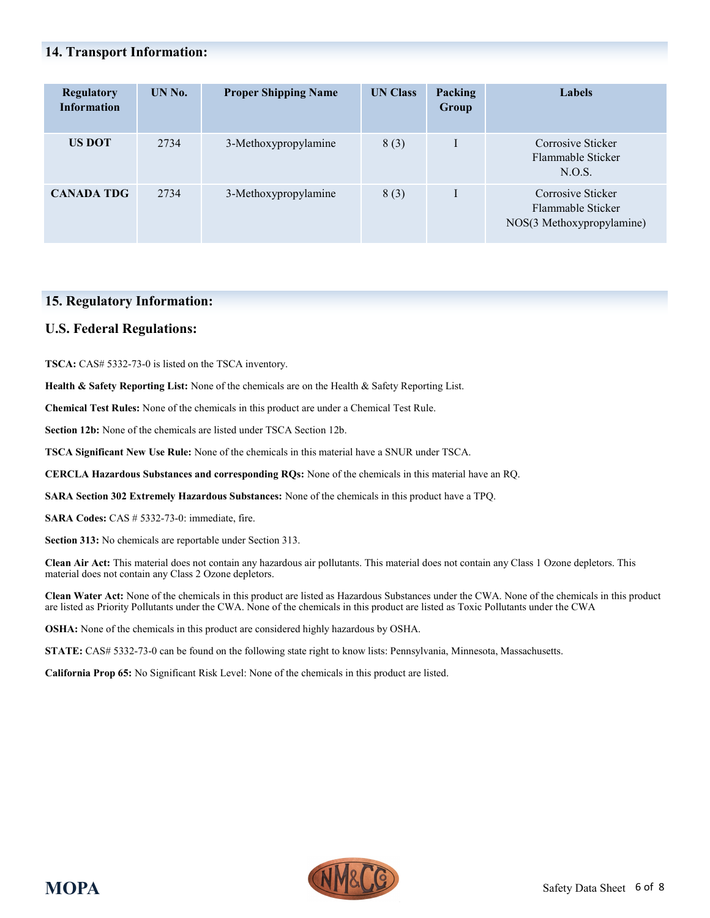# **14. Transport Information:**

| <b>Regulatory</b><br><b>Information</b> | UN No. | <b>Proper Shipping Name</b> | <b>UN Class</b> | <b>Packing</b><br>Group | <b>Labels</b>                                                       |
|-----------------------------------------|--------|-----------------------------|-----------------|-------------------------|---------------------------------------------------------------------|
| <b>US DOT</b>                           | 2734   | 3-Methoxypropylamine        | 8(3)            |                         | Corrosive Sticker<br>Flammable Sticker<br>N.O.S.                    |
| <b>CANADA TDG</b>                       | 2734   | 3-Methoxypropylamine        | 8(3)            |                         | Corrosive Sticker<br>Flammable Sticker<br>NOS(3 Methoxypropylamine) |

## **15. Regulatory Information:**

## **U.S. Federal Regulations:**

**TSCA:** CAS# 5332-73-0 is listed on the TSCA inventory.

**Health & Safety Reporting List:** None of the chemicals are on the Health & Safety Reporting List.

**Chemical Test Rules:** None of the chemicals in this product are under a Chemical Test Rule.

**Section 12b:** None of the chemicals are listed under TSCA Section 12b.

**TSCA Significant New Use Rule:** None of the chemicals in this material have a SNUR under TSCA.

**CERCLA Hazardous Substances and corresponding RQs:** None of the chemicals in this material have an RQ.

**SARA Section 302 Extremely Hazardous Substances:** None of the chemicals in this product have a TPQ.

**SARA Codes:** CAS # 5332-73-0: immediate, fire.

**Section 313:** No chemicals are reportable under Section 313.

**Clean Air Act:** This material does not contain any hazardous air pollutants. This material does not contain any Class 1 Ozone depletors. This material does not contain any Class 2 Ozone depletors.

**Clean Water Act:** None of the chemicals in this product are listed as Hazardous Substances under the CWA. None of the chemicals in this product are listed as Priority Pollutants under the CWA. None of the chemicals in this product are listed as Toxic Pollutants under the CWA

**OSHA:** None of the chemicals in this product are considered highly hazardous by OSHA.

**STATE:** CAS# 5332-73-0 can be found on the following state right to know lists: Pennsylvania, Minnesota, Massachusetts.

**California Prop 65:** No Significant Risk Level: None of the chemicals in this product are listed.

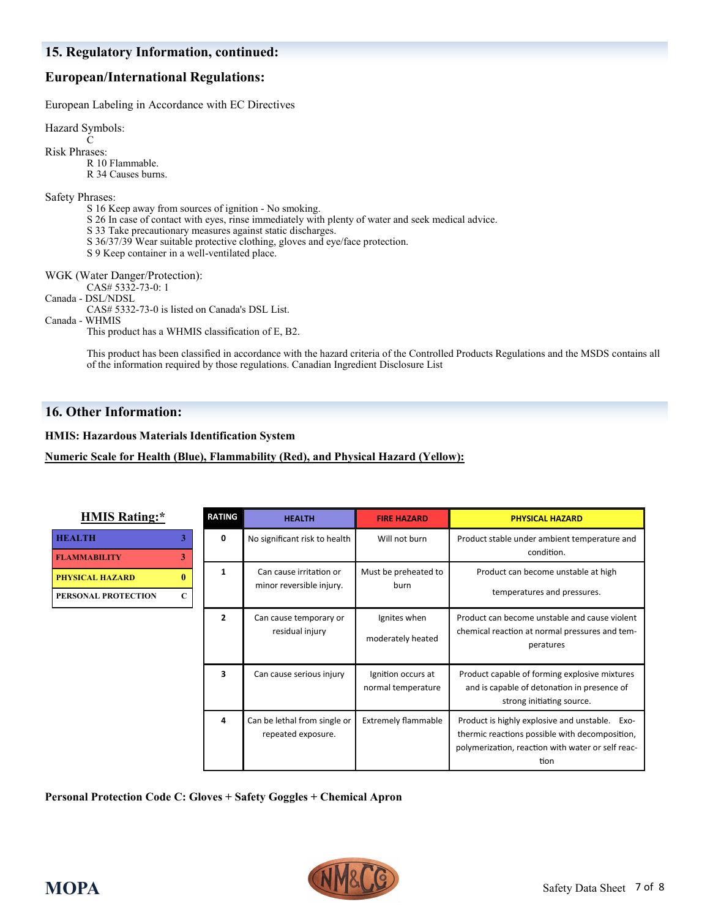# **European/International Regulations:**

European Labeling in Accordance with EC Directives

Hazard Symbols:

 $\mathbf C$ Risk Phrases:

R 10 Flammable.

R 34 Causes burns.

Safety Phrases:

- S 16 Keep away from sources of ignition No smoking.
- S 26 In case of contact with eyes, rinse immediately with plenty of water and seek medical advice.
- S 33 Take precautionary measures against static discharges.
- S 36/37/39 Wear suitable protective clothing, gloves and eye/face protection.
- S 9 Keep container in a well-ventilated place.

WGK (Water Danger/Protection):

CAS# 5332-73-0: 1

Canada - DSL/NDSL

CAS# 5332-73-0 is listed on Canada's DSL List.

#### Canada - WHMIS

This product has a WHMIS classification of E, B2.

This product has been classified in accordance with the hazard criteria of the Controlled Products Regulations and the MSDS contains all of the information required by those regulations. Canadian Ingredient Disclosure List

# **16. Other Information:**

**HMIS: Hazardous Materials Identification System**

## **Numeric Scale for Health (Blue), Flammability (Red), and Physical Hazard (Yellow):**

| <b>HMIS Rating:*</b>                                                         | <b>RATING</b>         | <b>HEALTH</b>                                       | <b>FIRE HAZARD</b>                       | <b>PHYSICAL HAZARD</b>                                                                                                                                        |
|------------------------------------------------------------------------------|-----------------------|-----------------------------------------------------|------------------------------------------|---------------------------------------------------------------------------------------------------------------------------------------------------------------|
| <b>HEALTH</b><br><b>FLAMMABILITY</b>                                         | 3<br>0<br>$3^{\circ}$ | No significant risk to health                       | Will not burn                            | Product stable under ambient temperature and<br>condition.                                                                                                    |
| $\mathbf{0}$<br><b>PHYSICAL HAZARD</b><br>$\mathbf C$<br>PERSONAL PROTECTION | 1                     | Can cause irritation or<br>minor reversible injury. | Must be preheated to<br>burn             | Product can become unstable at high<br>temperatures and pressures.                                                                                            |
|                                                                              | $\overline{2}$        | Can cause temporary or<br>residual injury           | Ignites when<br>moderately heated        | Product can become unstable and cause violent<br>chemical reaction at normal pressures and tem-<br>peratures                                                  |
|                                                                              | 3                     | Can cause serious injury                            | Ignition occurs at<br>normal temperature | Product capable of forming explosive mixtures<br>and is capable of detonation in presence of<br>strong initiating source.                                     |
|                                                                              | 4                     | Can be lethal from single or<br>repeated exposure.  | <b>Extremely flammable</b>               | Product is highly explosive and unstable. Exo-<br>thermic reactions possible with decomposition,<br>polymerization, reaction with water or self reac-<br>tion |

**Personal Protection Code C: Gloves + Safety Goggles + Chemical Apron**